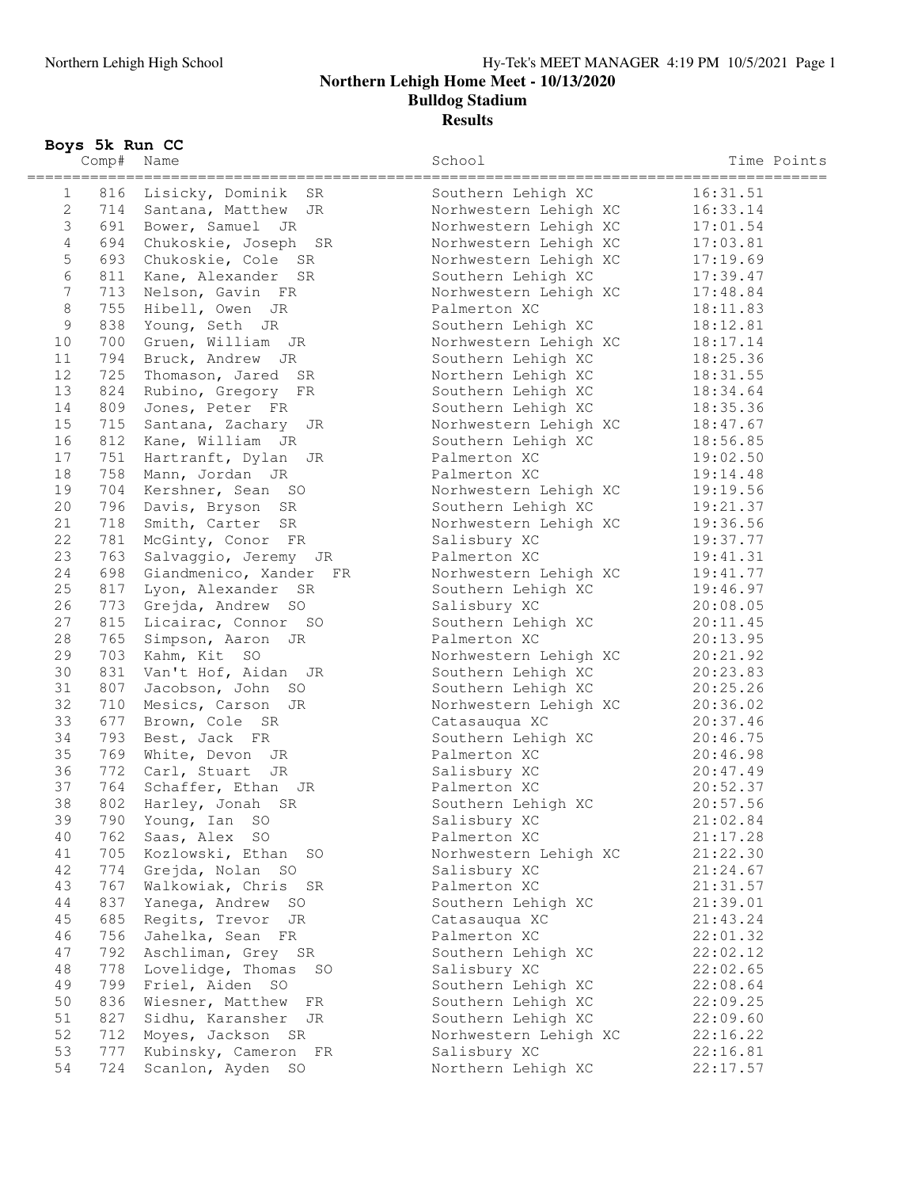## Northern Lehigh High School Hy-Tek's MEET MANAGER 4:19 PM 10/5/2021 Page 1 **Northern Lehigh Home Meet - 10/13/2020 Bulldog Stadium Results**

## **Boys 5k Run CC**

|                | Comp#       | Name                                       | School                                    | Time Points                 |
|----------------|-------------|--------------------------------------------|-------------------------------------------|-----------------------------|
| $\mathbf{1}$   | =========== | ===============<br>816 Lisicky, Dominik SR | ===================<br>Southern Lehigh XC | ===============<br>16:31.51 |
| 2              |             | 714 Santana, Matthew<br>JR                 | Norhwestern Lehigh XC                     | 16:33.14                    |
| $\mathfrak{Z}$ |             | 691 Bower, Samuel JR                       | Norhwestern Lehigh XC                     | 17:01.54                    |
| $\overline{4}$ |             | 694 Chukoskie, Joseph SR                   | Norhwestern Lehigh XC                     | 17:03.81                    |
| $\mathsf S$    |             | 693 Chukoskie, Cole SR                     | Norhwestern Lehigh XC                     | 17:19.69                    |
| $\epsilon$     | 811         | Kane, Alexander SR                         | Southern Lehigh XC                        | 17:39.47                    |
| $7\phantom{.}$ | 713         | Nelson, Gavin FR                           | Norhwestern Lehigh XC                     | 17:48.84                    |
| $\,8\,$        | 755         | Hibell, Owen JR                            | Palmerton XC                              | 18:11.83                    |
| $\mathcal{G}$  | 838         | Young, Seth JR                             | Southern Lehigh XC                        | 18:12.81                    |
| 10             | 700         | Gruen, William JR                          | Norhwestern Lehigh XC                     | 18:17.14                    |
| 11             | 794         | Bruck, Andrew JR                           | Southern Lehigh XC                        | 18:25.36                    |
| 12             | 725         | Thomason, Jared SR                         | Northern Lehigh XC                        | 18:31.55                    |
| 13             | 824         | Rubino, Gregory FR                         | Southern Lehigh XC                        | 18:34.64                    |
| 14             | 809         | Jones, Peter FR                            | Southern Lehigh XC                        | 18:35.36                    |
| 15             | 715         | Santana, Zachary<br>JR                     | Norhwestern Lehigh XC                     | 18:47.67                    |
| 16             | 812         | Kane, William JR                           | Southern Lehigh XC                        | 18:56.85                    |
| 17             |             | 751 Hartranft, Dylan JR                    | Palmerton XC                              | 19:02.50                    |
| 18             | 758         | Mann, Jordan JR                            | Palmerton XC                              | 19:14.48                    |
| 19             | 704         | Kershner, Sean SO                          | Norhwestern Lehigh XC                     | 19:19.56                    |
| 20             | 796         | Davis, Bryson SR                           | Southern Lehigh XC                        | 19:21.37                    |
| 21             | 718         | Smith, Carter<br>SR                        | Norhwestern Lehigh XC                     | 19:36.56                    |
| 22             | 781         | McGinty, Conor FR                          | Salisbury XC                              | 19:37.77                    |
| 23             | 763         | Salvaggio, Jeremy JR                       | Palmerton XC                              | 19:41.31                    |
| 24             | 698         | Giandmenico, Xander FR                     | Norhwestern Lehigh XC                     | 19:41.77                    |
| 25             | 817         | Lyon, Alexander SR                         | Southern Lehigh XC                        | 19:46.97                    |
| 26             | 773         | Grejda, Andrew SO                          | Salisbury XC                              | 20:08.05                    |
| 27             | 815         | Licairac, Connor SO                        | Southern Lehigh XC                        | 20:11.45                    |
| 28             | 765         | Simpson, Aaron JR                          | Palmerton XC                              | 20:13.95                    |
| 29             | 703         | Kahm, Kit SO                               | Norhwestern Lehigh XC                     | 20:21.92                    |
| 30             |             | 831 Van't Hof, Aidan JR                    | Southern Lehigh XC                        | 20:23.83                    |
| 31             | 807         | Jacobson, John SO                          | Southern Lehigh XC                        | 20:25.26                    |
| 32             | 710         | Mesics, Carson<br>JR                       | Norhwestern Lehigh XC                     | 20:36.02                    |
| 33             | 677         | Brown, Cole SR                             | Catasauqua XC                             | 20:37.46                    |
| 34             | 793         | Best, Jack FR                              | Southern Lehigh XC                        | 20:46.75                    |
| 35             | 769         | White, Devon JR                            | Palmerton XC                              | 20:46.98                    |
| 36             | 772         | Carl, Stuart JR                            | Salisbury XC                              | 20:47.49                    |
| 37             | 764         | Schaffer, Ethan JR                         | Palmerton XC                              | 20:52.37                    |
| 38             | 802         | Harley, Jonah SR                           | Southern Lehigh XC                        | 20:57.56                    |
| 39             | 790         | Young, Ian SO                              | Salisbury XC                              | 21:02.84                    |
| 40             | 762         | Saas, Alex SO                              | Palmerton XC                              | 21:17.28                    |
| 41             | 705         | Kozlowski, Ethan SO                        | Norhwestern Lehigh XC                     | 21:22.30                    |
| 42             | 774         | Grejda, Nolan SO                           | Salisbury XC                              | 21:24.67                    |
| 43             | 767         | Walkowiak, Chris SR                        | Palmerton XC                              | 21:31.57                    |
| 44             | 837         | Yanega, Andrew<br>SO                       | Southern Lehigh XC                        | 21:39.01                    |
| 45             | 685         | JR                                         | Catasauqua XC                             | 21:43.24                    |
| 46             | 756         | Regits, Trevor<br>Jahelka, Sean FR         | Palmerton XC                              | 22:01.32                    |
| 47             | 792         |                                            | Southern Lehigh XC                        |                             |
|                |             | Aschliman, Grey SR                         |                                           | 22:02.12                    |
| 48             | 778         | Lovelidge, Thomas SO                       | Salisbury XC                              | 22:02.65                    |
| 49             | 799         | Friel, Aiden SO                            | Southern Lehigh XC                        | 22:08.64                    |
| 50             | 836         | Wiesner, Matthew<br>FR                     | Southern Lehigh XC                        | 22:09.25                    |
| 51             | 827         | Sidhu, Karansher<br>JR                     | Southern Lehigh XC                        | 22:09.60                    |
| 52             | 712         | Moyes, Jackson SR                          | Norhwestern Lehigh XC                     | 22:16.22                    |
| 53             | 777         | Kubinsky, Cameron FR                       | Salisbury XC                              | 22:16.81                    |
| 54             | 724         | Scanlon, Ayden SO                          | Northern Lehigh XC                        | 22:17.57                    |